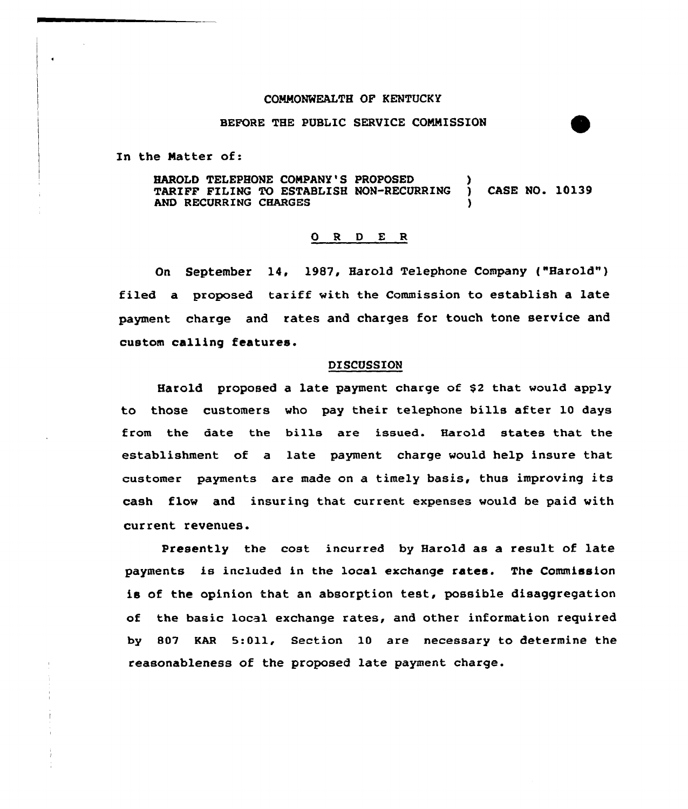## CONNONWEALTH OF KENTUCKY

## BEFORE THE PUBLIC SERVICE COMMISSION

In the Natter of:

HAROLD TELEPHONE COMPANY'S PROPOSED (1) TARIFF PILING TO ESTABLISH NON-RECURRING ) CASE NO. 10139 AND RECURRING CHARGES

## ORDER

On September 14, 1987, Harold Telephone Company ("Harold" ) filed a proposed tariff with the Commission to establish a late payment charge and rates and charges for touch tone service and custom calling features.

## DISCUSSION

Harold proposed a late payment charge of \$<sup>2</sup> that would apply to those customers who pay their telephone bills after 10 days from the date the bills are issued. Harold states that the establishment of a late payment charge would help insure that customer payments are made on a timely basis, thus improving its cash flow and insuring that current expenses would be paid with current revenues.

Presently the cost incurred by Harold as a result of late payments is included in the local exchange rates. The Commission is of the opinion that an absorption test, possible disaggregation of the basic local exchange rates, and other information required by S07 EAR 5:Oll, Section 10 are necessary to determine the reasonableness of the proposed late payment charge.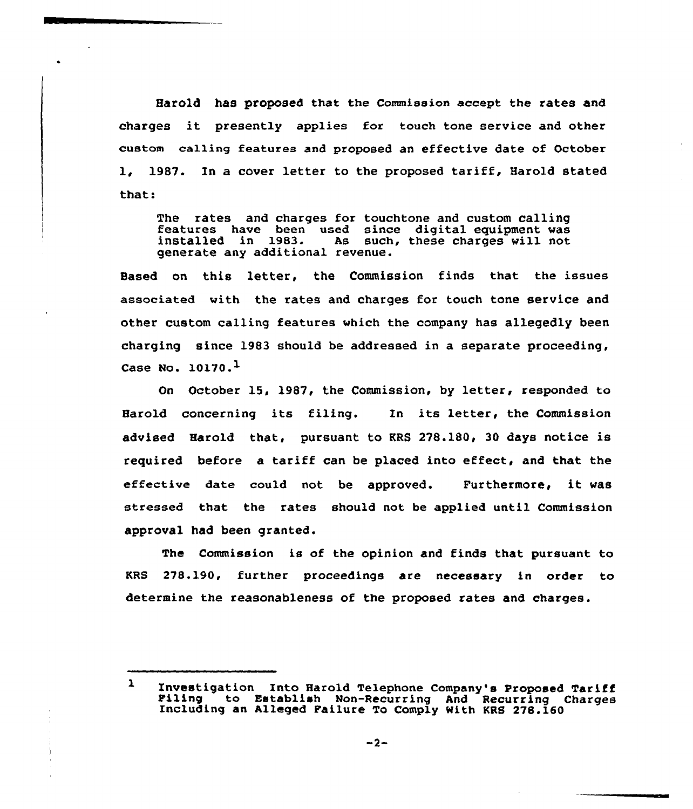Harold has proposed that the Commission accept the rates and charges it presently applies for touch tone service and other custom ca1ling features and proposed an effective date of October 1, 1987. In a cover letter to the proposed tariff, Harold stated that:

The rates and charges for touchtone and custom calling features have been used since digital equipment was installed in 1983. As such, these charges will not generate any additional revenue.

Based on this letter, the Commission finds that the issues associated with the rates and charges for touch tone service and other custom calling features which the company has allegedly been charging since 1983 should be addressed in a separate proceeding, Case No.  $10170.<sup>1</sup>$ 

On October 15, 1987, the Commission, by letter, responded to Harold concerning its filing. In its letter, the Commission advised Harold that, pursuant to KRS 278.180, 30 days notice is required before a tariff can be placed into effect, and that the effective date could not be approved. Furthermore, it was stressed that the rates should not be applied until Commission approval had been granted.

The Commission is of the opinion and finds that pursuant to KRS 278.190, further proceedings are necessary in order to determine the reasonableness of the proposed rates and charges.

 $\mathbf{r}$ Investigation Into Harold Telephone Company's Proposed Tariff Piling to Establish Non-Recurring And Recurring Charges Including an Alleged Pailure To Comply With KRS 278.160